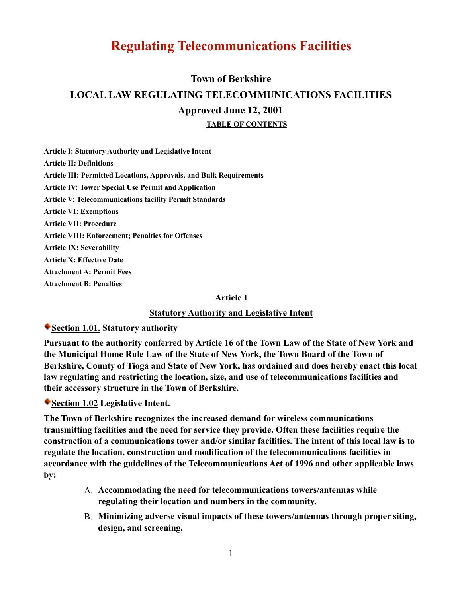# **Regulating Telecommunications Facilities**

# **Town of Berkshire LOCAL LAW REGULATING TELECOMMUNICATIONS FACILITIES Approved June 12, 2001 TABLE OF CONTENTS**

**Article I: Statutory Authority and Legislative Intent Article II: Definitions Article III: Permitted Locations, Approvals, and Bulk Requirements Article IV: Tower Special Use Permit and Application Article V: Telecommunications facility Permit Standards Article VI: Exemptions Article VII: Procedure Article VIII: Enforcement; Penalties for Offenses Article IX: Severability Article X: Effective Date Attachment A: Permit Fees Attachment B: Penalties** 

#### **Article I**

#### **Statutory Authority and Legislative Intent**

#### **Section 1.01. Statutory authority**

**Pursuant to the authority conferred by Article 16 of the Town Law of the State of New York and the Municipal Home Rule Law of the State of New York, the Town Board of the Town of Berkshire, County of Tioga and State of New York, has ordained and does hereby enact this local law regulating and restricting the location, size, and use of telecommunications facilities and their accessory structure in the Town of Berkshire.**

**Section 1.02 Legislative Intent.**

**The Town of Berkshire recognizes the increased demand for wireless communications transmitting facilities and the need for service they provide. Often these facilities require the construction of a communications tower and/or similar facilities. The intent of this local law is to regulate the location, construction and modification of the telecommunications facilities in accordance with the guidelines of the Telecommunications Act of 1996 and other applicable laws by:**

- A. **Accommodating the need for telecommunications towers/antennas while regulating their location and numbers in the community.**
- B. **Minimizing adverse visual impacts of these towers/antennas through proper siting, design, and screening.**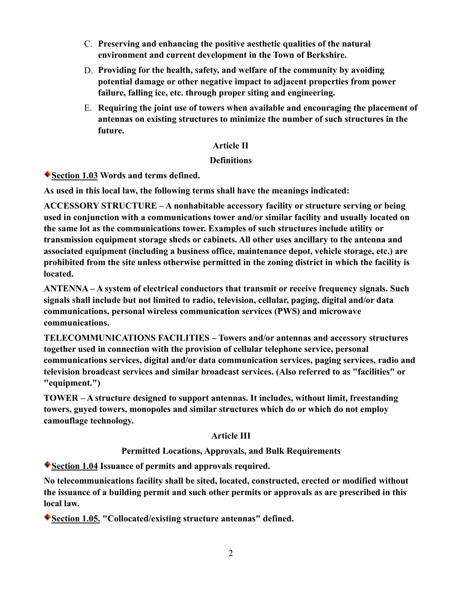- C. **Preserving and enhancing the positive aesthetic qualities of the natural environment and current development in the Town of Berkshire.**
- D. **Providing for the health, safety, and welfare of the community by avoiding potential damage or other negative impact to adjacent properties from power failure, falling ice, etc. through proper siting and engineering.**
- E. **Requiring the joint use of towers when available and encouraging the placement of antennas on existing structures to minimize the number of such structures in the future.**

## **Article II**

## **Definitions**

**Section 1.03 Words and terms defined.**

**As used in this local law, the following terms shall have the meanings indicated:**

**ACCESSORY STRUCTURE – A nonhabitable accessory facility or structure serving or being used in conjunction with a communications tower and/or similar facility and usually located on the same lot as the communications tower. Examples of such structures include utility or transmission equipment storage sheds or cabinets. All other uses ancillary to the antenna and associated equipment (including a business office, maintenance depot, vehicle storage, etc.) are prohibited from the site unless otherwise permitted in the zoning district in which the facility is located.**

**ANTENNA – A system of electrical conductors that transmit or receive frequency signals. Such signals shall include but not limited to radio, television, cellular, paging, digital and/or data communications, personal wireless communication services (PWS) and microwave communications.**

**TELECOMMUNICATIONS FACILITIES – Towers and/or antennas and accessory structures together used in connection with the provision of cellular telephone service, personal communications services, digital and/or data communication services, paging services, radio and television broadcast services and similar broadcast services. (Also referred to as "facilities" or "equipment.")**

**TOWER – A structure designed to support antennas. It includes, without limit, freestanding towers, guyed towers, monopoles and similar structures which do or which do not employ camouflage technology.**

# **Article III**

# **Permitted Locations, Approvals, and Bulk Requirements**

**Section 1.04 Issuance of permits and approvals required.**

**No telecommunications facility shall be sited, located, constructed, erected or modified without the issuance of a building permit and such other permits or approvals as are prescribed in this local law.**

**Section 1.05. "Collocated/existing structure antennas" defined.**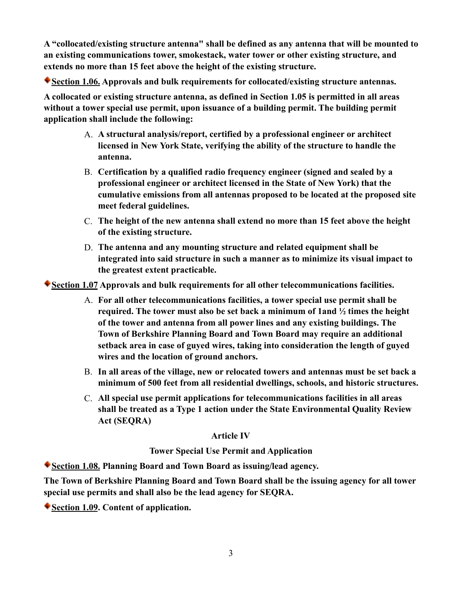**A "collocated/existing structure antenna" shall be defined as any antenna that will be mounted to an existing communications tower, smokestack, water tower or other existing structure, and extends no more than 15 feet above the height of the existing structure.**

**Section 1.06. Approvals and bulk requirements for collocated/existing structure antennas.**

**A collocated or existing structure antenna, as defined in Section 1.05 is permitted in all areas without a tower special use permit, upon issuance of a building permit. The building permit application shall include the following:** 

- A. **A structural analysis/report, certified by a professional engineer or architect licensed in New York State, verifying the ability of the structure to handle the antenna.**
- B. **Certification by a qualified radio frequency engineer (signed and sealed by a professional engineer or architect licensed in the State of New York) that the cumulative emissions from all antennas proposed to be located at the proposed site meet federal guidelines.**
- C. **The height of the new antenna shall extend no more than 15 feet above the height of the existing structure.**
- D. **The antenna and any mounting structure and related equipment shall be integrated into said structure in such a manner as to minimize its visual impact to the greatest extent practicable.**

**Section 1.07 Approvals and bulk requirements for all other telecommunications facilities.**

- A. **For all other telecommunications facilities, a tower special use permit shall be required. The tower must also be set back a minimum of 1and ½ times the height of the tower and antenna from all power lines and any existing buildings. The Town of Berkshire Planning Board and Town Board may require an additional setback area in case of guyed wires, taking into consideration the length of guyed wires and the location of ground anchors.**
- B. **In all areas of the village, new or relocated towers and antennas must be set back a minimum of 500 feet from all residential dwellings, schools, and historic structures.**
- C. **All special use permit applications for telecommunications facilities in all areas shall be treated as a Type 1 action under the State Environmental Quality Review Act (SEQRA)**

## **Article IV**

**Tower Special Use Permit and Application**

**Section 1.08. Planning Board and Town Board as issuing/lead agency.**

**The Town of Berkshire Planning Board and Town Board shall be the issuing agency for all tower special use permits and shall also be the lead agency for SEQRA.**

**Section 1.09. Content of application.**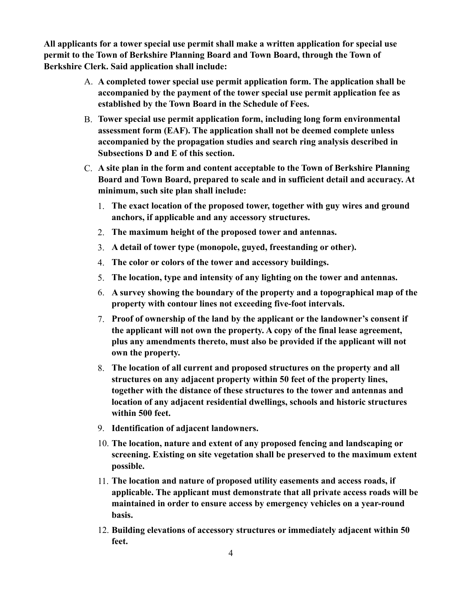**All applicants for a tower special use permit shall make a written application for special use permit to the Town of Berkshire Planning Board and Town Board, through the Town of Berkshire Clerk. Said application shall include:**

- A. **A completed tower special use permit application form. The application shall be accompanied by the payment of the tower special use permit application fee as established by the Town Board in the Schedule of Fees.**
- B. **Tower special use permit application form, including long form environmental assessment form (EAF). The application shall not be deemed complete unless accompanied by the propagation studies and search ring analysis described in Subsections D and E of this section.**
- C. **A site plan in the form and content acceptable to the Town of Berkshire Planning Board and Town Board, prepared to scale and in sufficient detail and accuracy. At minimum, such site plan shall include:**
	- 1. **The exact location of the proposed tower, together with guy wires and ground anchors, if applicable and any accessory structures.**
	- 2. **The maximum height of the proposed tower and antennas.**
	- 3. **A detail of tower type (monopole, guyed, freestanding or other).**
	- 4. **The color or colors of the tower and accessory buildings.**
	- 5. **The location, type and intensity of any lighting on the tower and antennas.**
	- 6. **A survey showing the boundary of the property and a topographical map of the property with contour lines not exceeding five-foot intervals.**
	- 7. **Proof of ownership of the land by the applicant or the landowner's consent if the applicant will not own the property. A copy of the final lease agreement, plus any amendments thereto, must also be provided if the applicant will not own the property.**
	- 8. **The location of all current and proposed structures on the property and all structures on any adjacent property within 50 feet of the property lines, together with the distance of these structures to the tower and antennas and location of any adjacent residential dwellings, schools and historic structures within 500 feet.**
	- 9. **Identification of adjacent landowners.**
	- 10. **The location, nature and extent of any proposed fencing and landscaping or screening. Existing on site vegetation shall be preserved to the maximum extent possible.**
	- 11. **The location and nature of proposed utility easements and access roads, if applicable. The applicant must demonstrate that all private access roads will be maintained in order to ensure access by emergency vehicles on a year-round basis.**
	- 12. **Building elevations of accessory structures or immediately adjacent within 50 feet.**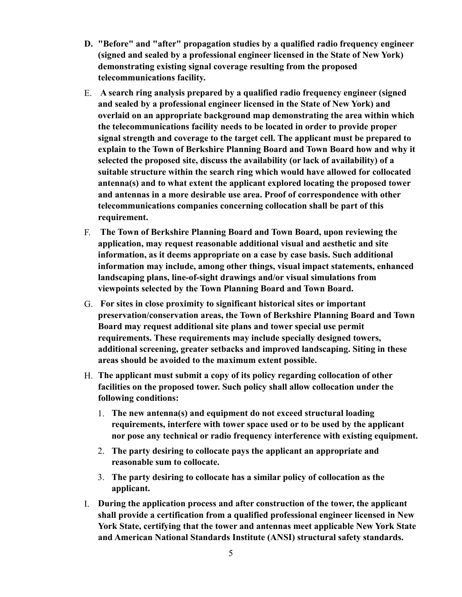- **D. "Before" and "after" propagation studies by a qualified radio frequency engineer (signed and sealed by a professional engineer licensed in the State of New York) demonstrating existing signal coverage resulting from the proposed telecommunications facility.**
- E. **A search ring analysis prepared by a qualified radio frequency engineer (signed and sealed by a professional engineer licensed in the State of New York) and overlaid on an appropriate background map demonstrating the area within which the telecommunications facility needs to be located in order to provide proper signal strength and coverage to the target cell. The applicant must be prepared to explain to the Town of Berkshire Planning Board and Town Board how and why it selected the proposed site, discuss the availability (or lack of availability) of a suitable structure within the search ring which would have allowed for collocated antenna(s) and to what extent the applicant explored locating the proposed tower and antennas in a more desirable use area. Proof of correspondence with other telecommunications companies concerning collocation shall be part of this requirement.**
- F. **The Town of Berkshire Planning Board and Town Board, upon reviewing the application, may request reasonable additional visual and aesthetic and site information, as it deems appropriate on a case by case basis. Such additional information may include, among other things, visual impact statements, enhanced landscaping plans, line-of-sight drawings and/or visual simulations from viewpoints selected by the Town Planning Board and Town Board.**
- G. **For sites in close proximity to significant historical sites or important preservation/conservation areas, the Town of Berkshire Planning Board and Town Board may request additional site plans and tower special use permit requirements. These requirements may include specially designed towers, additional screening, greater setbacks and improved landscaping. Siting in these areas should be avoided to the maximum extent possible.**
- H. **The applicant must submit a copy of its policy regarding collocation of other facilities on the proposed tower. Such policy shall allow collocation under the following conditions:**
	- 1. **The new antenna(s) and equipment do not exceed structural loading requirements, interfere with tower space used or to be used by the applicant nor pose any technical or radio frequency interference with existing equipment.**
	- 2. **The party desiring to collocate pays the applicant an appropriate and reasonable sum to collocate.**
	- 3. **The party desiring to collocate has a similar policy of collocation as the applicant.**
- I. **During the application process and after construction of the tower, the applicant shall provide a certification from a qualified professional engineer licensed in New York State, certifying that the tower and antennas meet applicable New York State and American National Standards Institute (ANSI) structural safety standards.**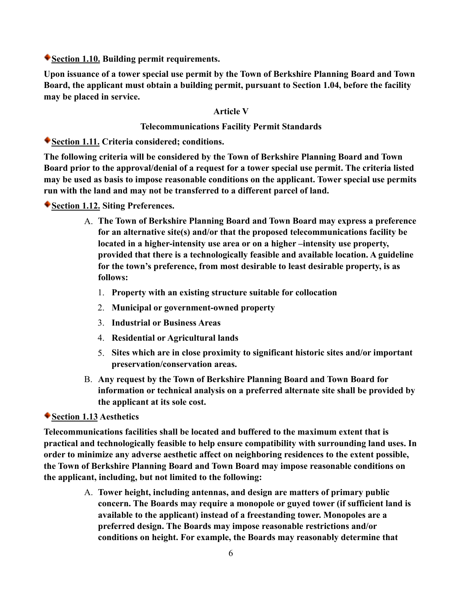**Section 1.10. Building permit requirements.**

**Upon issuance of a tower special use permit by the Town of Berkshire Planning Board and Town Board, the applicant must obtain a building permit, pursuant to Section 1.04, before the facility may be placed in service.**

## **Article V**

## **Telecommunications Facility Permit Standards**

**Section 1.11. Criteria considered; conditions.**

**The following criteria will be considered by the Town of Berkshire Planning Board and Town Board prior to the approval/denial of a request for a tower special use permit. The criteria listed may be used as basis to impose reasonable conditions on the applicant. Tower special use permits run with the land and may not be transferred to a different parcel of land.**

## **Section 1.12. Siting Preferences.**

- A. **The Town of Berkshire Planning Board and Town Board may express a preference for an alternative site(s) and/or that the proposed telecommunications facility be located in a higher-intensity use area or on a higher –intensity use property, provided that there is a technologically feasible and available location. A guideline for the town's preference, from most desirable to least desirable property, is as follows:** 
	- 1. **Property with an existing structure suitable for collocation**
	- 2. **Municipal or government-owned property**
	- 3. **Industrial or Business Areas**
	- 4. **Residential or Agricultural lands**
	- 5. **Sites which are in close proximity to significant historic sites and/or important preservation/conservation areas.**
- B. **Any request by the Town of Berkshire Planning Board and Town Board for information or technical analysis on a preferred alternate site shall be provided by the applicant at its sole cost.**

# **Section 1.13 Aesthetics**

**Telecommunications facilities shall be located and buffered to the maximum extent that is practical and technologically feasible to help ensure compatibility with surrounding land uses. In order to minimize any adverse aesthetic affect on neighboring residences to the extent possible, the Town of Berkshire Planning Board and Town Board may impose reasonable conditions on the applicant, including, but not limited to the following:**

> A. **Tower height, including antennas, and design are matters of primary public concern. The Boards may require a monopole or guyed tower (if sufficient land is available to the applicant) instead of a freestanding tower. Monopoles are a preferred design. The Boards may impose reasonable restrictions and/or conditions on height. For example, the Boards may reasonably determine that**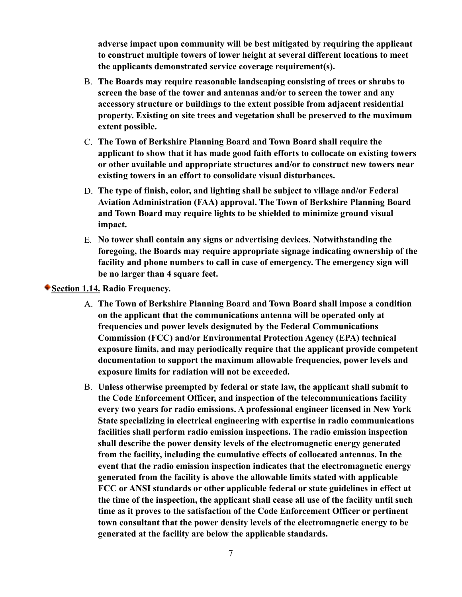**adverse impact upon community will be best mitigated by requiring the applicant to construct multiple towers of lower height at several different locations to meet the applicants demonstrated service coverage requirement(s).**

- B. **The Boards may require reasonable landscaping consisting of trees or shrubs to screen the base of the tower and antennas and/or to screen the tower and any accessory structure or buildings to the extent possible from adjacent residential property. Existing on site trees and vegetation shall be preserved to the maximum extent possible.**
- C. **The Town of Berkshire Planning Board and Town Board shall require the applicant to show that it has made good faith efforts to collocate on existing towers or other available and appropriate structures and/or to construct new towers near existing towers in an effort to consolidate visual disturbances.**
- D. **The type of finish, color, and lighting shall be subject to village and/or Federal Aviation Administration (FAA) approval. The Town of Berkshire Planning Board and Town Board may require lights to be shielded to minimize ground visual impact.**
- E. **No tower shall contain any signs or advertising devices. Notwithstanding the foregoing, the Boards may require appropriate signage indicating ownership of the facility and phone numbers to call in case of emergency. The emergency sign will be no larger than 4 square feet.**

**Section 1.14. Radio Frequency.**

- A. **The Town of Berkshire Planning Board and Town Board shall impose a condition on the applicant that the communications antenna will be operated only at frequencies and power levels designated by the Federal Communications Commission (FCC) and/or Environmental Protection Agency (EPA) technical exposure limits, and may periodically require that the applicant provide competent documentation to support the maximum allowable frequencies, power levels and exposure limits for radiation will not be exceeded.**
- B. **Unless otherwise preempted by federal or state law, the applicant shall submit to the Code Enforcement Officer, and inspection of the telecommunications facility every two years for radio emissions. A professional engineer licensed in New York State specializing in electrical engineering with expertise in radio communications facilities shall perform radio emission inspections. The radio emission inspection shall describe the power density levels of the electromagnetic energy generated from the facility, including the cumulative effects of collocated antennas. In the event that the radio emission inspection indicates that the electromagnetic energy generated from the facility is above the allowable limits stated with applicable FCC or ANSI standards or other applicable federal or state guidelines in effect at the time of the inspection, the applicant shall cease all use of the facility until such time as it proves to the satisfaction of the Code Enforcement Officer or pertinent town consultant that the power density levels of the electromagnetic energy to be generated at the facility are below the applicable standards.**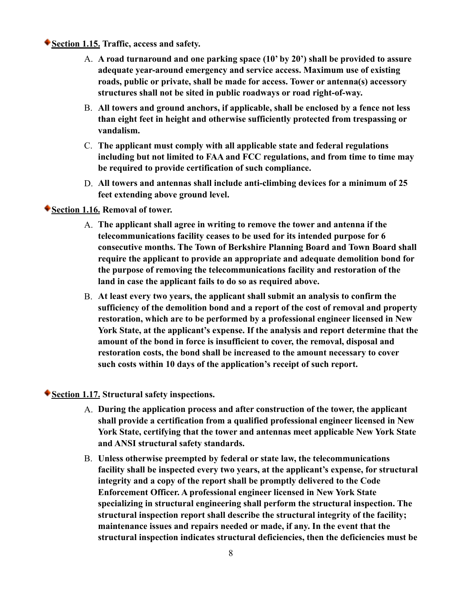**Section 1.15. Traffic, access and safety.**

- A. **A road turnaround and one parking space (10' by 20') shall be provided to assure adequate year-around emergency and service access. Maximum use of existing roads, public or private, shall be made for access. Tower or antenna(s) accessory structures shall not be sited in public roadways or road right-of-way.**
- B. **All towers and ground anchors, if applicable, shall be enclosed by a fence not less than eight feet in height and otherwise sufficiently protected from trespassing or vandalism.**
- C. **The applicant must comply with all applicable state and federal regulations including but not limited to FAA and FCC regulations, and from time to time may be required to provide certification of such compliance.**
- D. **All towers and antennas shall include anti-climbing devices for a minimum of 25 feet extending above ground level.**

**Section 1.16. Removal of tower.**

- A. **The applicant shall agree in writing to remove the tower and antenna if the telecommunications facility ceases to be used for its intended purpose for 6 consecutive months. The Town of Berkshire Planning Board and Town Board shall require the applicant to provide an appropriate and adequate demolition bond for the purpose of removing the telecommunications facility and restoration of the land in case the applicant fails to do so as required above.**
- B. **At least every two years, the applicant shall submit an analysis to confirm the sufficiency of the demolition bond and a report of the cost of removal and property restoration, which are to be performed by a professional engineer licensed in New York State, at the applicant's expense. If the analysis and report determine that the amount of the bond in force is insufficient to cover, the removal, disposal and restoration costs, the bond shall be increased to the amount necessary to cover such costs within 10 days of the application's receipt of such report.**

**Section 1.17. Structural safety inspections.**

- A. **During the application process and after construction of the tower, the applicant shall provide a certification from a qualified professional engineer licensed in New York State, certifying that the tower and antennas meet applicable New York State and ANSI structural safety standards.**
- B. **Unless otherwise preempted by federal or state law, the telecommunications facility shall be inspected every two years, at the applicant's expense, for structural integrity and a copy of the report shall be promptly delivered to the Code Enforcement Officer. A professional engineer licensed in New York State specializing in structural engineering shall perform the structural inspection. The structural inspection report shall describe the structural integrity of the facility; maintenance issues and repairs needed or made, if any. In the event that the structural inspection indicates structural deficiencies, then the deficiencies must be**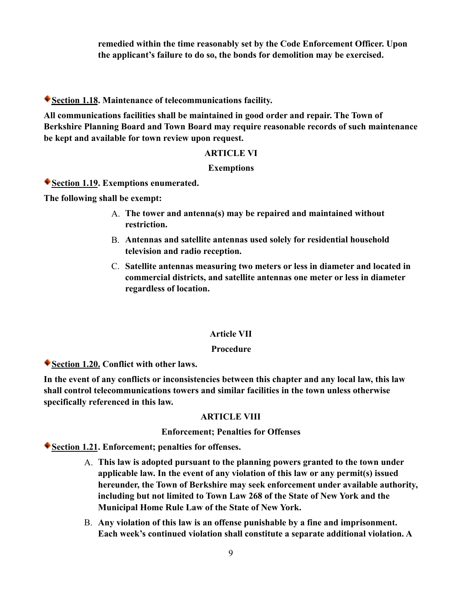**remedied within the time reasonably set by the Code Enforcement Officer. Upon the applicant's failure to do so, the bonds for demolition may be exercised.**

**Section 1.18. Maintenance of telecommunications facility.**

**All communications facilities shall be maintained in good order and repair. The Town of Berkshire Planning Board and Town Board may require reasonable records of such maintenance be kept and available for town review upon request.**

## **ARTICLE VI**

### **Exemptions**

**Section 1.19. Exemptions enumerated.**

**The following shall be exempt:**

- A. **The tower and antenna(s) may be repaired and maintained without restriction.**
- B. **Antennas and satellite antennas used solely for residential household television and radio reception.**
- C. **Satellite antennas measuring two meters or less in diameter and located in commercial districts, and satellite antennas one meter or less in diameter regardless of location.**

## **Article VII**

### **Procedure**

**Section 1.20. Conflict with other laws.**

**In the event of any conflicts or inconsistencies between this chapter and any local law, this law shall control telecommunications towers and similar facilities in the town unless otherwise specifically referenced in this law.**

## **ARTICLE VIII**

### **Enforcement; Penalties for Offenses**

**Section 1.21. Enforcement; penalties for offenses.**

- A. **This law is adopted pursuant to the planning powers granted to the town under applicable law. In the event of any violation of this law or any permit(s) issued hereunder, the Town of Berkshire may seek enforcement under available authority, including but not limited to Town Law 268 of the State of New York and the Municipal Home Rule Law of the State of New York.**
- B. **Any violation of this law is an offense punishable by a fine and imprisonment. Each week's continued violation shall constitute a separate additional violation. A**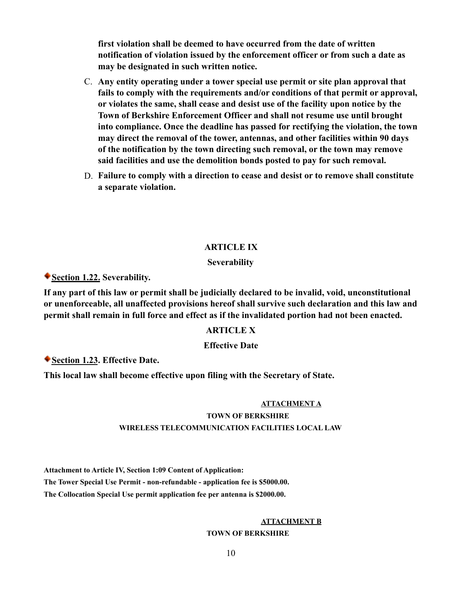**first violation shall be deemed to have occurred from the date of written notification of violation issued by the enforcement officer or from such a date as may be designated in such written notice.**

- C. **Any entity operating under a tower special use permit or site plan approval that fails to comply with the requirements and/or conditions of that permit or approval, or violates the same, shall cease and desist use of the facility upon notice by the Town of Berkshire Enforcement Officer and shall not resume use until brought into compliance. Once the deadline has passed for rectifying the violation, the town may direct the removal of the tower, antennas, and other facilities within 90 days of the notification by the town directing such removal, or the town may remove said facilities and use the demolition bonds posted to pay for such removal.**
- D. **Failure to comply with a direction to cease and desist or to remove shall constitute a separate violation.**

#### **ARTICLE IX**

#### **Severability**

**Section 1.22. Severability.**

**If any part of this law or permit shall be judicially declared to be invalid, void, unconstitutional or unenforceable, all unaffected provisions hereof shall survive such declaration and this law and permit shall remain in full force and effect as if the invalidated portion had not been enacted.**

#### **ARTICLE X**

#### **Effective Date**

**Section 1.23. Effective Date.**

**This local law shall become effective upon filing with the Secretary of State.**

#### **ATTACHMENT A**

## **TOWN OF BERKSHIRE WIRELESS TELECOMMUNICATION FACILITIES LOCAL LAW**

**Attachment to Article IV, Section 1:09 Content of Application:**

**The Tower Special Use Permit - non-refundable - application fee is \$5000.00.**

**The Collocation Special Use permit application fee per antenna is \$2000.00.**

#### **ATTACHMENT B**

**TOWN OF BERKSHIRE**